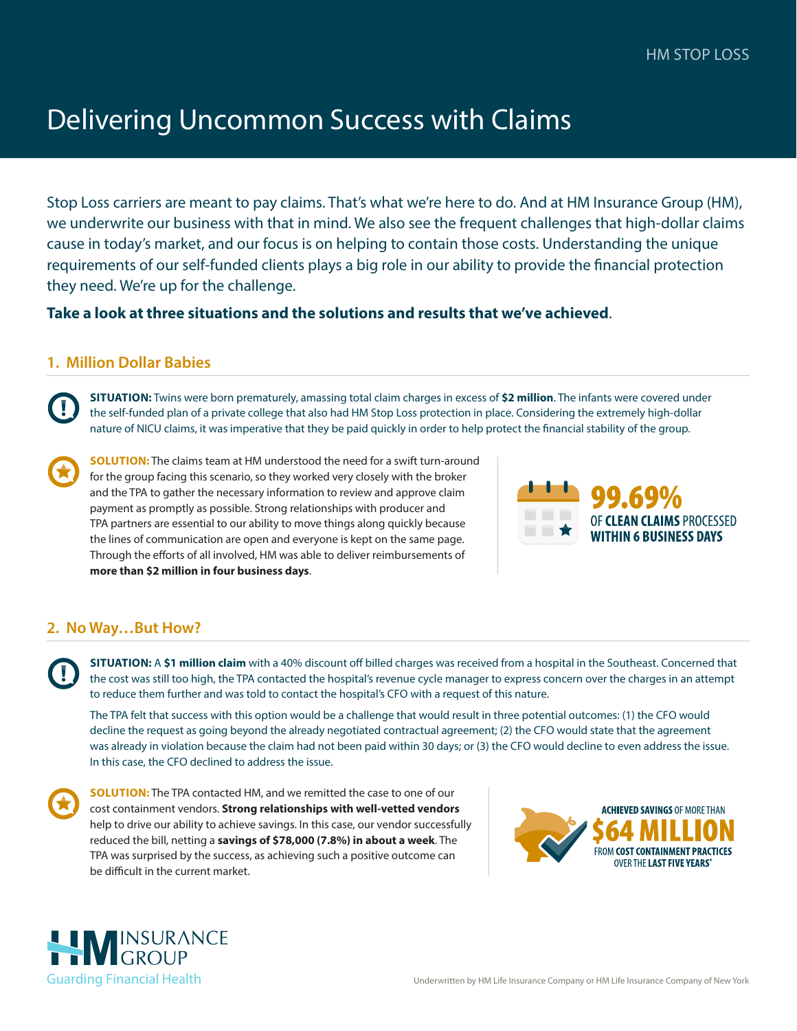# Delivering Uncommon Success with Claims

Stop Loss carriers are meant to pay claims. That's what we're here to do. And at HM Insurance Group (HM), we underwrite our business with that in mind. We also see the frequent challenges that high-dollar claims cause in today's market, and our focus is on helping to contain those costs. Understanding the unique requirements of our self-funded clients plays a big role in our ability to provide the financial protection they need. We're up for the challenge.

### **Take a look at three situations and the solutions and results that we've achieved**.

# **1. Million Dollar Babies**

**SITUATION:** Twins were born prematurely, amassing total claim charges in excess of **\$2 million**. The infants were covered under the self-funded plan of a private college that also had HM Stop Loss protection in place. Considering the extremely high-dollar nature of NICU claims, it was imperative that they be paid quickly in order to help protect the financial stability of the group.

**SOLUTION:** The claims team at HM understood the need for a swift turn-around for the group facing this scenario, so they worked very closely with the broker and the TPA to gather the necessary information to review and approve claim payment as promptly as possible. Strong relationships with producer and TPA partners are essential to our ability to move things along quickly because the lines of communication are open and everyone is kept on the same page. Through the efforts of all involved, HM was able to deliver reimbursements of **more than \$2 million in four business days**.



# **2. No Way…But How?**

**SITUATION:** A **\$1 million claim** with a 40% discount off billed charges was received from a hospital in the Southeast. Concerned that the cost was still too high, the TPA contacted the hospital's revenue cycle manager to express concern over the charges in an attempt to reduce them further and was told to contact the hospital's CFO with a request of this nature.

The TPA felt that success with this option would be a challenge that would result in three potential outcomes: (1) the CFO would decline the request as going beyond the already negotiated contractual agreement; (2) the CFO would state that the agreement was already in violation because the claim had not been paid within 30 days; or (3) the CFO would decline to even address the issue. In this case, the CFO declined to address the issue.

**SOLUTION:** The TPA contacted HM, and we remitted the case to one of our cost containment vendors. **Strong relationships with well-vetted vendors** help to drive our ability to achieve savings. In this case, our vendor successfully reduced the bill, netting a **savings of \$78,000 (7.8%) in about a week**. The TPA was surprised by the success, as achieving such a positive outcome can be difficult in the current market.